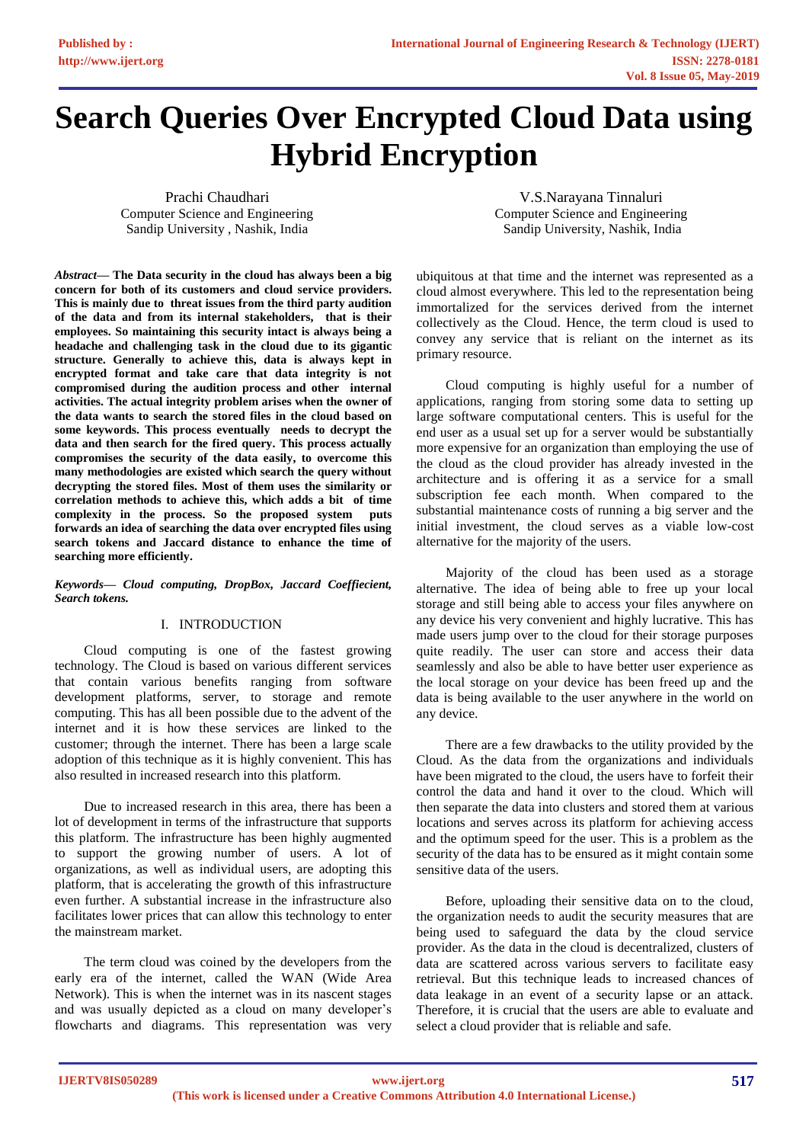# **Search Queries Over Encrypted Cloud Data using Hybrid Encryption**

Prachi Chaudhari Computer Science and Engineering Sandip University , Nashik, India

V.S.Narayana Tinnaluri Computer Science and Engineering Sandip University, Nashik, India

*Abstract***— The Data security in the cloud has always been a big concern for both of its customers and cloud service providers. This is mainly due to threat issues from the third party audition of the data and from its internal stakeholders, that is their employees. So maintaining this security intact is always being a headache and challenging task in the cloud due to its gigantic structure. Generally to achieve this, data is always kept in encrypted format and take care that data integrity is not compromised during the audition process and other internal activities. The actual integrity problem arises when the owner of the data wants to search the stored files in the cloud based on some keywords. This process eventually needs to decrypt the data and then search for the fired query. This process actually compromises the security of the data easily, to overcome this many methodologies are existed which search the query without decrypting the stored files. Most of them uses the similarity or correlation methods to achieve this, which adds a bit of time complexity in the process. So the proposed system puts forwards an idea of searching the data over encrypted files using search tokens and Jaccard distance to enhance the time of searching more efficiently.** 

*Keywords— Cloud computing, DropBox, Jaccard Coeffiecient, Search tokens.*

#### I. INTRODUCTION

Cloud computing is one of the fastest growing technology. The Cloud is based on various different services that contain various benefits ranging from software development platforms, server, to storage and remote computing. This has all been possible due to the advent of the internet and it is how these services are linked to the customer; through the internet. There has been a large scale adoption of this technique as it is highly convenient. This has also resulted in increased research into this platform.

Due to increased research in this area, there has been a lot of development in terms of the infrastructure that supports this platform. The infrastructure has been highly augmented to support the growing number of users. A lot of organizations, as well as individual users, are adopting this platform, that is accelerating the growth of this infrastructure even further. A substantial increase in the infrastructure also facilitates lower prices that can allow this technology to enter the mainstream market.

The term cloud was coined by the developers from the early era of the internet, called the WAN (Wide Area Network). This is when the internet was in its nascent stages and was usually depicted as a cloud on many developer's flowcharts and diagrams. This representation was very ubiquitous at that time and the internet was represented as a cloud almost everywhere. This led to the representation being immortalized for the services derived from the internet collectively as the Cloud. Hence, the term cloud is used to convey any service that is reliant on the internet as its primary resource.

Cloud computing is highly useful for a number of applications, ranging from storing some data to setting up large software computational centers. This is useful for the end user as a usual set up for a server would be substantially more expensive for an organization than employing the use of the cloud as the cloud provider has already invested in the architecture and is offering it as a service for a small subscription fee each month. When compared to the substantial maintenance costs of running a big server and the initial investment, the cloud serves as a viable low-cost alternative for the majority of the users.

Majority of the cloud has been used as a storage alternative. The idea of being able to free up your local storage and still being able to access your files anywhere on any device his very convenient and highly lucrative. This has made users jump over to the cloud for their storage purposes quite readily. The user can store and access their data seamlessly and also be able to have better user experience as the local storage on your device has been freed up and the data is being available to the user anywhere in the world on any device.

There are a few drawbacks to the utility provided by the Cloud. As the data from the organizations and individuals have been migrated to the cloud, the users have to forfeit their control the data and hand it over to the cloud. Which will then separate the data into clusters and stored them at various locations and serves across its platform for achieving access and the optimum speed for the user. This is a problem as the security of the data has to be ensured as it might contain some sensitive data of the users.

Before, uploading their sensitive data on to the cloud, the organization needs to audit the security measures that are being used to safeguard the data by the cloud service provider. As the data in the cloud is decentralized, clusters of data are scattered across various servers to facilitate easy retrieval. But this technique leads to increased chances of data leakage in an event of a security lapse or an attack. Therefore, it is crucial that the users are able to evaluate and select a cloud provider that is reliable and safe.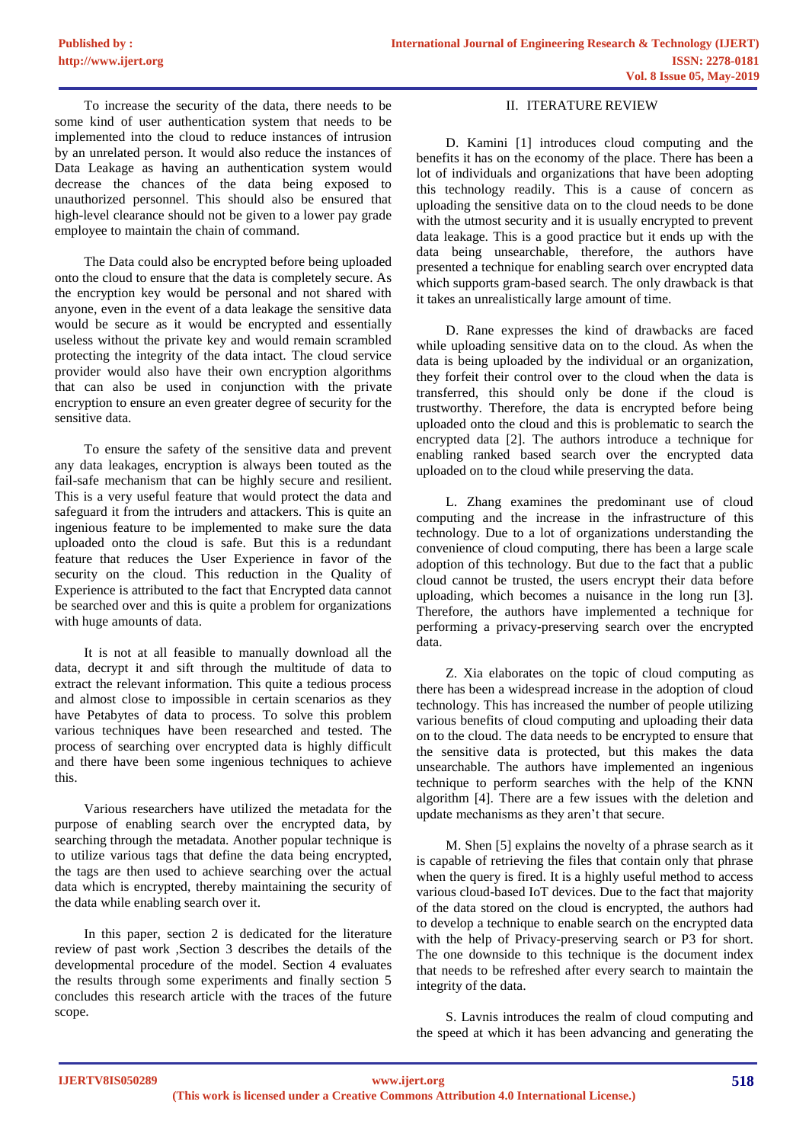To increase the security of the data, there needs to be some kind of user authentication system that needs to be implemented into the cloud to reduce instances of intrusion by an unrelated person. It would also reduce the instances of Data Leakage as having an authentication system would decrease the chances of the data being exposed to unauthorized personnel. This should also be ensured that high-level clearance should not be given to a lower pay grade employee to maintain the chain of command.

The Data could also be encrypted before being uploaded onto the cloud to ensure that the data is completely secure. As the encryption key would be personal and not shared with anyone, even in the event of a data leakage the sensitive data would be secure as it would be encrypted and essentially useless without the private key and would remain scrambled protecting the integrity of the data intact. The cloud service provider would also have their own encryption algorithms that can also be used in conjunction with the private encryption to ensure an even greater degree of security for the sensitive data.

To ensure the safety of the sensitive data and prevent any data leakages, encryption is always been touted as the fail-safe mechanism that can be highly secure and resilient. This is a very useful feature that would protect the data and safeguard it from the intruders and attackers. This is quite an ingenious feature to be implemented to make sure the data uploaded onto the cloud is safe. But this is a redundant feature that reduces the User Experience in favor of the security on the cloud. This reduction in the Quality of Experience is attributed to the fact that Encrypted data cannot be searched over and this is quite a problem for organizations with huge amounts of data.

It is not at all feasible to manually download all the data, decrypt it and sift through the multitude of data to extract the relevant information. This quite a tedious process and almost close to impossible in certain scenarios as they have Petabytes of data to process. To solve this problem various techniques have been researched and tested. The process of searching over encrypted data is highly difficult and there have been some ingenious techniques to achieve this.

Various researchers have utilized the metadata for the purpose of enabling search over the encrypted data, by searching through the metadata. Another popular technique is to utilize various tags that define the data being encrypted, the tags are then used to achieve searching over the actual data which is encrypted, thereby maintaining the security of the data while enabling search over it.

In this paper, section 2 is dedicated for the literature review of past work ,Section 3 describes the details of the developmental procedure of the model. Section 4 evaluates the results through some experiments and finally section 5 concludes this research article with the traces of the future scope.

### II. ITERATURE REVIEW

D. Kamini [1] introduces cloud computing and the benefits it has on the economy of the place. There has been a lot of individuals and organizations that have been adopting this technology readily. This is a cause of concern as uploading the sensitive data on to the cloud needs to be done with the utmost security and it is usually encrypted to prevent data leakage. This is a good practice but it ends up with the data being unsearchable, therefore, the authors have presented a technique for enabling search over encrypted data which supports gram-based search. The only drawback is that it takes an unrealistically large amount of time.

D. Rane expresses the kind of drawbacks are faced while uploading sensitive data on to the cloud. As when the data is being uploaded by the individual or an organization, they forfeit their control over to the cloud when the data is transferred, this should only be done if the cloud is trustworthy. Therefore, the data is encrypted before being uploaded onto the cloud and this is problematic to search the encrypted data [2]. The authors introduce a technique for enabling ranked based search over the encrypted data uploaded on to the cloud while preserving the data.

L. Zhang examines the predominant use of cloud computing and the increase in the infrastructure of this technology. Due to a lot of organizations understanding the convenience of cloud computing, there has been a large scale adoption of this technology. But due to the fact that a public cloud cannot be trusted, the users encrypt their data before uploading, which becomes a nuisance in the long run [3]. Therefore, the authors have implemented a technique for performing a privacy-preserving search over the encrypted data.

Z. Xia elaborates on the topic of cloud computing as there has been a widespread increase in the adoption of cloud technology. This has increased the number of people utilizing various benefits of cloud computing and uploading their data on to the cloud. The data needs to be encrypted to ensure that the sensitive data is protected, but this makes the data unsearchable. The authors have implemented an ingenious technique to perform searches with the help of the KNN algorithm [4]. There are a few issues with the deletion and update mechanisms as they aren't that secure.

M. Shen [5] explains the novelty of a phrase search as it is capable of retrieving the files that contain only that phrase when the query is fired. It is a highly useful method to access various cloud-based IoT devices. Due to the fact that majority of the data stored on the cloud is encrypted, the authors had to develop a technique to enable search on the encrypted data with the help of Privacy-preserving search or P3 for short. The one downside to this technique is the document index that needs to be refreshed after every search to maintain the integrity of the data.

S. Lavnis introduces the realm of cloud computing and the speed at which it has been advancing and generating the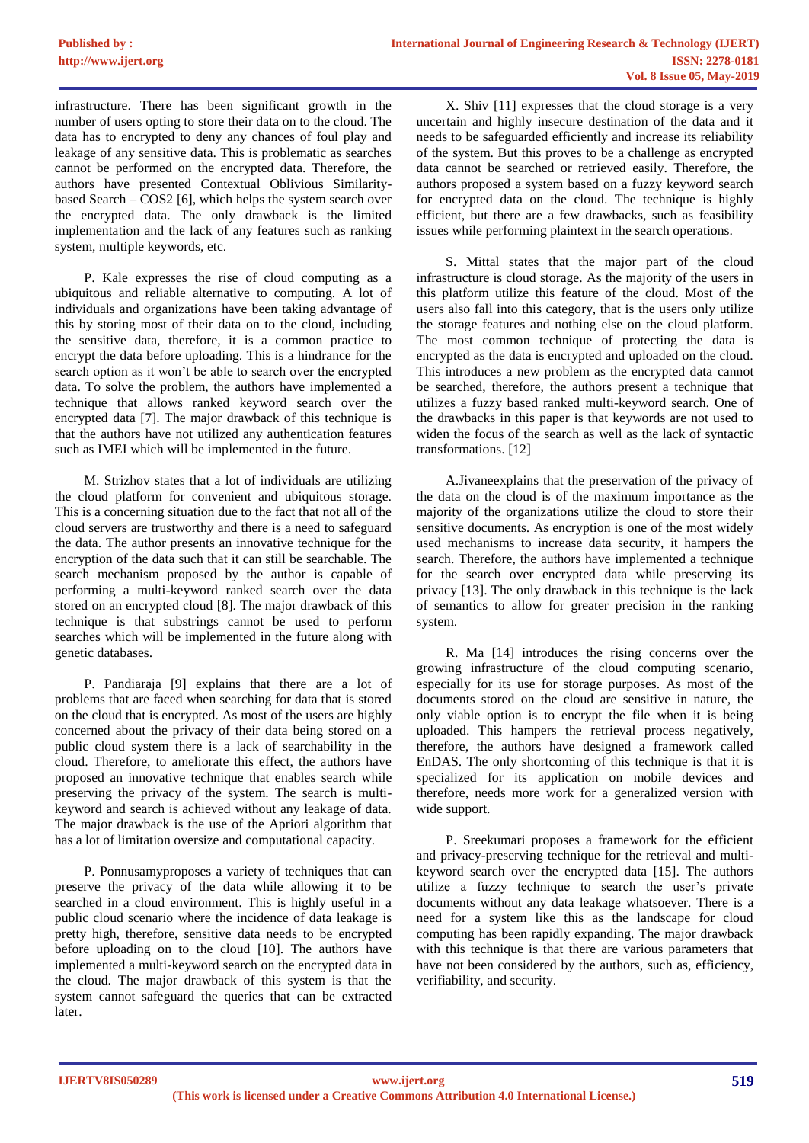infrastructure. There has been significant growth in the number of users opting to store their data on to the cloud. The data has to encrypted to deny any chances of foul play and leakage of any sensitive data. This is problematic as searches cannot be performed on the encrypted data. Therefore, the authors have presented Contextual Oblivious Similaritybased Search – COS2 [6], which helps the system search over the encrypted data. The only drawback is the limited implementation and the lack of any features such as ranking system, multiple keywords, etc.

P. Kale expresses the rise of cloud computing as a ubiquitous and reliable alternative to computing. A lot of individuals and organizations have been taking advantage of this by storing most of their data on to the cloud, including the sensitive data, therefore, it is a common practice to encrypt the data before uploading. This is a hindrance for the search option as it won't be able to search over the encrypted data. To solve the problem, the authors have implemented a technique that allows ranked keyword search over the encrypted data [7]. The major drawback of this technique is that the authors have not utilized any authentication features such as IMEI which will be implemented in the future.

M. Strizhov states that a lot of individuals are utilizing the cloud platform for convenient and ubiquitous storage. This is a concerning situation due to the fact that not all of the cloud servers are trustworthy and there is a need to safeguard the data. The author presents an innovative technique for the encryption of the data such that it can still be searchable. The search mechanism proposed by the author is capable of performing a multi-keyword ranked search over the data stored on an encrypted cloud [8]. The major drawback of this technique is that substrings cannot be used to perform searches which will be implemented in the future along with genetic databases.

P. Pandiaraja [9] explains that there are a lot of problems that are faced when searching for data that is stored on the cloud that is encrypted. As most of the users are highly concerned about the privacy of their data being stored on a public cloud system there is a lack of searchability in the cloud. Therefore, to ameliorate this effect, the authors have proposed an innovative technique that enables search while preserving the privacy of the system. The search is multikeyword and search is achieved without any leakage of data. The major drawback is the use of the Apriori algorithm that has a lot of limitation oversize and computational capacity.

P. Ponnusamyproposes a variety of techniques that can preserve the privacy of the data while allowing it to be searched in a cloud environment. This is highly useful in a public cloud scenario where the incidence of data leakage is pretty high, therefore, sensitive data needs to be encrypted before uploading on to the cloud [10]. The authors have implemented a multi-keyword search on the encrypted data in the cloud. The major drawback of this system is that the system cannot safeguard the queries that can be extracted later.

X. Shiv [11] expresses that the cloud storage is a very uncertain and highly insecure destination of the data and it needs to be safeguarded efficiently and increase its reliability of the system. But this proves to be a challenge as encrypted data cannot be searched or retrieved easily. Therefore, the authors proposed a system based on a fuzzy keyword search for encrypted data on the cloud. The technique is highly efficient, but there are a few drawbacks, such as feasibility issues while performing plaintext in the search operations.

S. Mittal states that the major part of the cloud infrastructure is cloud storage. As the majority of the users in this platform utilize this feature of the cloud. Most of the users also fall into this category, that is the users only utilize the storage features and nothing else on the cloud platform. The most common technique of protecting the data is encrypted as the data is encrypted and uploaded on the cloud. This introduces a new problem as the encrypted data cannot be searched, therefore, the authors present a technique that utilizes a fuzzy based ranked multi-keyword search. One of the drawbacks in this paper is that keywords are not used to widen the focus of the search as well as the lack of syntactic transformations. [12]

A.Jivaneexplains that the preservation of the privacy of the data on the cloud is of the maximum importance as the majority of the organizations utilize the cloud to store their sensitive documents. As encryption is one of the most widely used mechanisms to increase data security, it hampers the search. Therefore, the authors have implemented a technique for the search over encrypted data while preserving its privacy [13]. The only drawback in this technique is the lack of semantics to allow for greater precision in the ranking system.

R. Ma [14] introduces the rising concerns over the growing infrastructure of the cloud computing scenario, especially for its use for storage purposes. As most of the documents stored on the cloud are sensitive in nature, the only viable option is to encrypt the file when it is being uploaded. This hampers the retrieval process negatively, therefore, the authors have designed a framework called EnDAS. The only shortcoming of this technique is that it is specialized for its application on mobile devices and therefore, needs more work for a generalized version with wide support.

P. Sreekumari proposes a framework for the efficient and privacy-preserving technique for the retrieval and multikeyword search over the encrypted data [15]. The authors utilize a fuzzy technique to search the user's private documents without any data leakage whatsoever. There is a need for a system like this as the landscape for cloud computing has been rapidly expanding. The major drawback with this technique is that there are various parameters that have not been considered by the authors, such as, efficiency, verifiability, and security.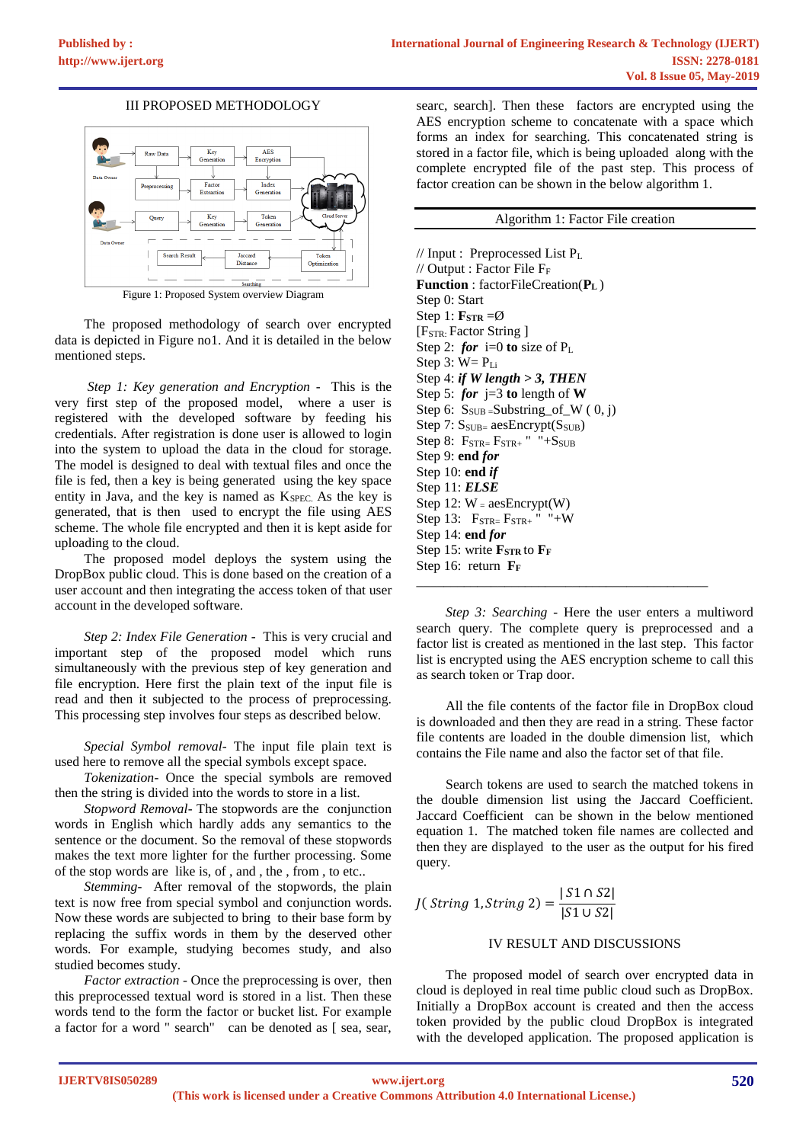#### III PROPOSED METHODOLOGY



Figure 1: Proposed System overview Diagram

The proposed methodology of search over encrypted data is depicted in Figure no1. And it is detailed in the below mentioned steps.

*Step 1: Key generation and Encryption -* This is the very first step of the proposed model, where a user is registered with the developed software by feeding his credentials. After registration is done user is allowed to login into the system to upload the data in the cloud for storage. The model is designed to deal with textual files and once the file is fed, then a key is being generated using the key space entity in Java, and the key is named as KSPEC. As the key is generated, that is then used to encrypt the file using AES scheme. The whole file encrypted and then it is kept aside for uploading to the cloud.

The proposed model deploys the system using the DropBox public cloud. This is done based on the creation of a user account and then integrating the access token of that user account in the developed software.

*Step 2: Index File Generation -* This is very crucial and important step of the proposed model which runs simultaneously with the previous step of key generation and file encryption. Here first the plain text of the input file is read and then it subjected to the process of preprocessing. This processing step involves four steps as described below.

*Special Symbol removal-* The input file plain text is used here to remove all the special symbols except space.

*Tokenization-* Once the special symbols are removed then the string is divided into the words to store in a list.

*Stopword Removal-* The stopwords are the conjunction words in English which hardly adds any semantics to the sentence or the document. So the removal of these stopwords makes the text more lighter for the further processing. Some of the stop words are like is, of , and , the , from , to etc..

*Stemming-* After removal of the stopwords, the plain text is now free from special symbol and conjunction words. Now these words are subjected to bring to their base form by replacing the suffix words in them by the deserved other words. For example, studying becomes study, and also studied becomes study.

*Factor extraction -* Once the preprocessing is over, then this preprocessed textual word is stored in a list. Then these words tend to the form the factor or bucket list. For example a factor for a word " search" can be denoted as [ sea, sear,

searc, search]. Then these factors are encrypted using the AES encryption scheme to concatenate with a space which forms an index for searching. This concatenated string is stored in a factor file, which is being uploaded along with the complete encrypted file of the past step. This process of factor creation can be shown in the below algorithm 1.

#### Algorithm 1: Factor File creation

// Input : Preprocessed List P<sup>L</sup> // Output : Factor File  $F_F$ **Function** : factorFileCreation(**P<sup>L</sup>** ) Step 0: Start Step 1:  $\mathbf{F}_{\text{STR}} = \emptyset$ [F<sub>STR:</sub> Factor String ] Step 2: *for* i=0 **to** size of P<sub>L</sub> Step  $3: W = P_{Li}$ Step 4: *if W length > 3, THEN* Step 5:  $for$   $j=3$  to length of **W** Step 6:  $S_{SUB}$  = Substring \_of\_W (0, j) Step 7:  $S_{SUB=}$  aesEncrypt( $S_{SUB}$ ) Step 8:  $F_{STR=}$  $F_{STR+}$  " $+S_{SUB}$ Step 9: **end** *for* Step 10: **end** *if* Step 11: *ELSE* Step 12:  $W = \text{aesEnergy}(W)$ Step 13:  $F_{\text{STR}=} F_{\text{STR}+}$  " "+W Step 14: **end** *for* Step 15: write **F**<sub>STR</sub> to **F**<sub>F</sub> Step 16: return **FF** 

*Step 3: Searching -* Here the user enters a multiword search query. The complete query is preprocessed and a factor list is created as mentioned in the last step. This factor list is encrypted using the AES encryption scheme to call this as search token or Trap door.

\_\_\_\_\_\_\_\_\_\_\_\_\_\_\_\_\_\_\_\_\_\_\_\_\_\_\_\_\_\_\_\_\_\_\_\_\_\_\_\_\_\_\_

All the file contents of the factor file in DropBox cloud is downloaded and then they are read in a string. These factor file contents are loaded in the double dimension list, which contains the File name and also the factor set of that file.

Search tokens are used to search the matched tokens in the double dimension list using the Jaccard Coefficient. Jaccard Coefficient can be shown in the below mentioned equation 1. The matched token file names are collected and then they are displayed to the user as the output for his fired query.

*J*(*String* 1, *String* 2) =  $\frac{|S1 \cap S2|}{|S1 \cap S2|}$ |1 ∪ 2|

## IV RESULT AND DISCUSSIONS

The proposed model of search over encrypted data in cloud is deployed in real time public cloud such as DropBox. Initially a DropBox account is created and then the access token provided by the public cloud DropBox is integrated with the developed application. The proposed application is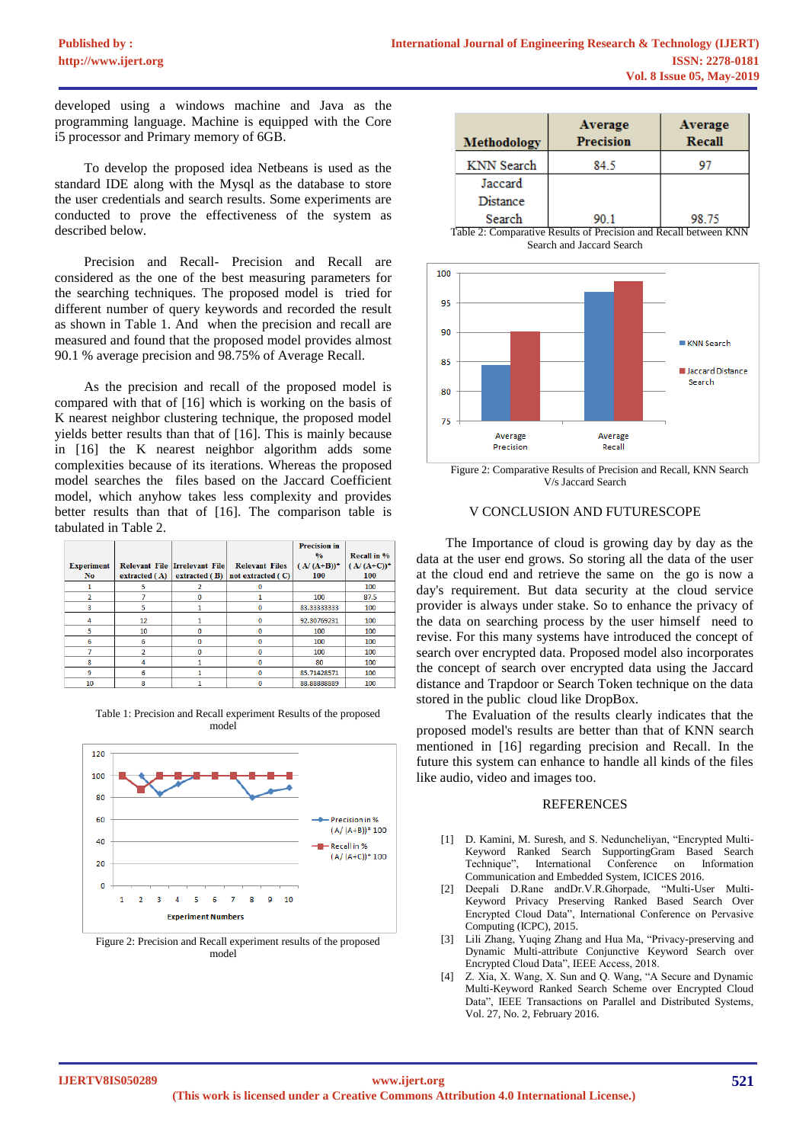developed using a windows machine and Java as the programming language. Machine is equipped with the Core i5 processor and Primary memory of 6GB.

To develop the proposed idea Netbeans is used as the standard IDE along with the Mysql as the database to store the user credentials and search results. Some experiments are conducted to prove the effectiveness of the system as described below.

Precision and Recall- Precision and Recall are considered as the one of the best measuring parameters for the searching techniques. The proposed model is tried for different number of query keywords and recorded the result as shown in Table 1. And when the precision and recall are measured and found that the proposed model provides almost 90.1 % average precision and 98.75% of Average Recall.

As the precision and recall of the proposed model is compared with that of [16] which is working on the basis of K nearest neighbor clustering technique, the proposed model yields better results than that of [16]. This is mainly because in [16] the K nearest neighbor algorithm adds some complexities because of its iterations. Whereas the proposed model searches the files based on the Jaccard Coefficient model, which anyhow takes less complexity and provides better results than that of [16]. The comparison table is tabulated in Table 2.

|                   |             |                               |                       | <b>Precision</b> in<br>$\frac{0}{2}$ | Recall in %   |
|-------------------|-------------|-------------------------------|-----------------------|--------------------------------------|---------------|
| <b>Experiment</b> |             | Relevant File Irrelevant File | <b>Relevant Files</b> | $(A/(A+B))$ <sup>*</sup>             | $(A/(A+C))^*$ |
| No.               | extrated(A) | extracted (B)                 | not extracted (C)     | 100                                  | 100           |
|                   |             |                               |                       |                                      | 100           |
| $\overline{2}$    |             | n                             |                       | 100                                  | 87.5          |
| 3                 | 5           |                               | 0                     | 83.33333333                          | 100           |
| 4                 | 12          |                               | $\Omega$              | 92.30769231                          | 100           |
| 5                 | 10          | $\Omega$                      | 0                     | 100                                  | 100           |
| 6                 | 6           | $\Omega$                      | 0                     | 100                                  | 100           |
|                   |             | n                             | Ω                     | 100                                  | 100           |
| 8                 | 4           |                               | 0                     | 80                                   | 100           |
| 9                 | 6           |                               | 0                     | 85.71428571                          | 100           |
| 10                | 8           |                               |                       | 88.88888889                          | 100           |

Table 1: Precision and Recall experiment Results of the proposed model



Figure 2: Precision and Recall experiment results of the proposed model



Table 2: Comparative Results of Precision and Recall between KNN Search and Jaccard Search



Figure 2: Comparative Results of Precision and Recall, KNN Search V/s Jaccard Search

### V CONCLUSION AND FUTURESCOPE

The Importance of cloud is growing day by day as the data at the user end grows. So storing all the data of the user at the cloud end and retrieve the same on the go is now a day's requirement. But data security at the cloud service provider is always under stake. So to enhance the privacy of the data on searching process by the user himself need to revise. For this many systems have introduced the concept of search over encrypted data. Proposed model also incorporates the concept of search over encrypted data using the Jaccard distance and Trapdoor or Search Token technique on the data stored in the public cloud like DropBox.

The Evaluation of the results clearly indicates that the proposed model's results are better than that of KNN search mentioned in [16] regarding precision and Recall. In the future this system can enhance to handle all kinds of the files like audio, video and images too.

#### **REFERENCES**

- [1] D. Kamini, M. Suresh, and S. Neduncheliyan, "Encrypted Multi-Keyword Ranked Search SupportingGram Based Search International Conference on Information Communication and Embedded System, ICICES 2016.<br>Deepali D. Rane and Dr. V. R. Ghornade. "Multi-User Multi-
- [2] Deepali D.Rane andDr.V.R.Ghorpade, Keyword Privacy Preserving Ranked Based Search Over Encrypted Cloud Data", International Conference on Pervasive Computing (ICPC), 2015.
- [3] Lili Zhang, Yuqing Zhang and Hua Ma, "Privacy-preserving and Dynamic Multi-attribute Conjunctive Keyword Search over Encrypted Cloud Data", IEEE Access, 2018.
- [4] Z. Xia, X. Wang, X. Sun and Q. Wang, "A Secure and Dynamic Multi-Keyword Ranked Search Scheme over Encrypted Cloud Data", IEEE Transactions on Parallel and Distributed Systems, Vol. 27, No. 2, February 2016.